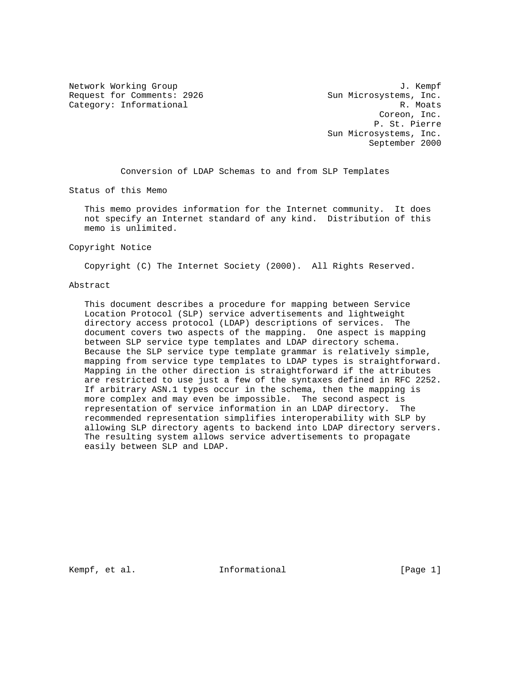Request for Comments: 2926 Sun Microsystems, Inc. Category: Informational R. Moats

Network Working Group 3. The Second Second Second Second Second Second Second Second Second Second Second Second Second Second Second Second Second Second Second Second Second Second Second Second Second Second Second Seco Coreon, Inc. P. St. Pierre Sun Microsystems, Inc. September 2000

Conversion of LDAP Schemas to and from SLP Templates

Status of this Memo

 This memo provides information for the Internet community. It does not specify an Internet standard of any kind. Distribution of this memo is unlimited.

#### Copyright Notice

Copyright (C) The Internet Society (2000). All Rights Reserved.

#### Abstract

 This document describes a procedure for mapping between Service Location Protocol (SLP) service advertisements and lightweight directory access protocol (LDAP) descriptions of services. The document covers two aspects of the mapping. One aspect is mapping between SLP service type templates and LDAP directory schema. Because the SLP service type template grammar is relatively simple, mapping from service type templates to LDAP types is straightforward. Mapping in the other direction is straightforward if the attributes are restricted to use just a few of the syntaxes defined in RFC 2252. If arbitrary ASN.1 types occur in the schema, then the mapping is more complex and may even be impossible. The second aspect is representation of service information in an LDAP directory. The recommended representation simplifies interoperability with SLP by allowing SLP directory agents to backend into LDAP directory servers. The resulting system allows service advertisements to propagate easily between SLP and LDAP.

Kempf, et al.  $I_n$  Informational  $[Page 1]$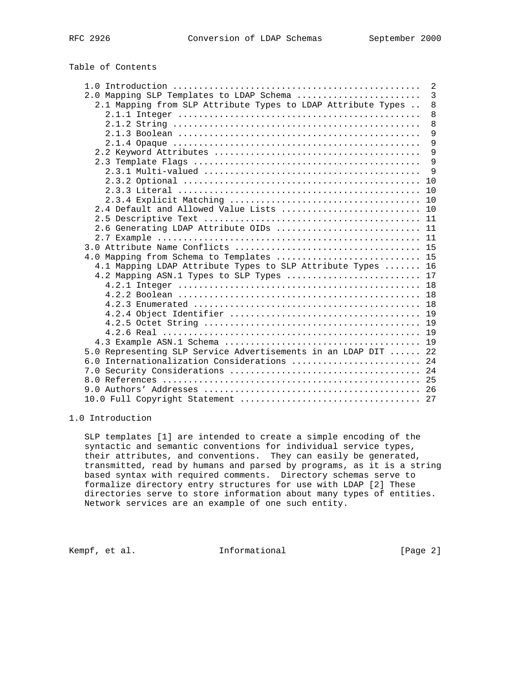# Table of Contents

|                                                                | 2 |
|----------------------------------------------------------------|---|
| 2.0 Mapping SLP Templates to LDAP Schema                       | 3 |
| 2.1 Mapping from SLP Attribute Types to LDAP Attribute Types   | 8 |
|                                                                | 8 |
|                                                                | 8 |
|                                                                | 9 |
|                                                                | 9 |
|                                                                | 9 |
|                                                                | 9 |
|                                                                | 9 |
|                                                                |   |
|                                                                |   |
|                                                                |   |
| 2.4 Default and Allowed Value Lists  10                        |   |
|                                                                |   |
| 2.6 Generating LDAP Attribute OIDs  11                         |   |
|                                                                |   |
|                                                                |   |
| 4.0 Mapping from Schema to Templates  15                       |   |
| 4.1 Mapping LDAP Attribute Types to SLP Attribute Types  16    |   |
| 4.2 Mapping ASN.1 Types to SLP Types  17                       |   |
|                                                                |   |
|                                                                |   |
|                                                                |   |
|                                                                |   |
|                                                                |   |
|                                                                |   |
|                                                                |   |
| 5.0 Representing SLP Service Advertisements in an LDAP DIT  22 |   |
| 6.0 Internationalization Considerations  24                    |   |
|                                                                |   |
|                                                                |   |
|                                                                |   |
|                                                                |   |

## 1.0 Introduction

 SLP templates [1] are intended to create a simple encoding of the syntactic and semantic conventions for individual service types, their attributes, and conventions. They can easily be generated, transmitted, read by humans and parsed by programs, as it is a string based syntax with required comments. Directory schemas serve to formalize directory entry structures for use with LDAP [2] These directories serve to store information about many types of entities. Network services are an example of one such entity.

Kempf, et al. 1nformational 1999 [Page 2]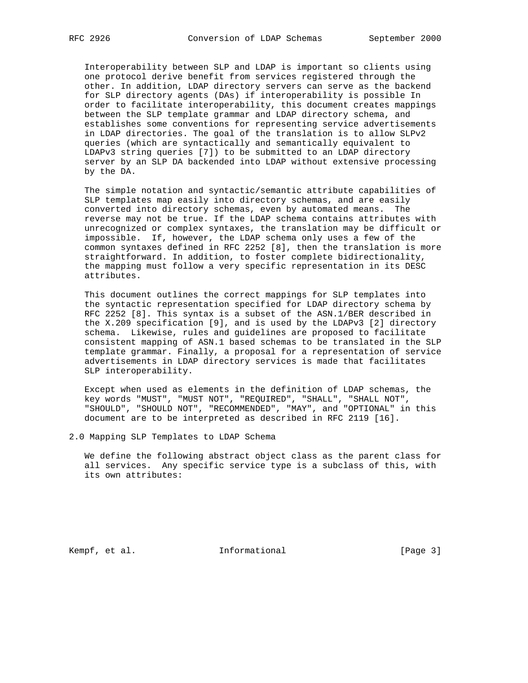Interoperability between SLP and LDAP is important so clients using one protocol derive benefit from services registered through the other. In addition, LDAP directory servers can serve as the backend for SLP directory agents (DAs) if interoperability is possible In order to facilitate interoperability, this document creates mappings between the SLP template grammar and LDAP directory schema, and establishes some conventions for representing service advertisements in LDAP directories. The goal of the translation is to allow SLPv2 queries (which are syntactically and semantically equivalent to LDAPv3 string queries [7]) to be submitted to an LDAP directory server by an SLP DA backended into LDAP without extensive processing by the DA.

 The simple notation and syntactic/semantic attribute capabilities of SLP templates map easily into directory schemas, and are easily converted into directory schemas, even by automated means. The reverse may not be true. If the LDAP schema contains attributes with unrecognized or complex syntaxes, the translation may be difficult or impossible. If, however, the LDAP schema only uses a few of the common syntaxes defined in RFC 2252 [8], then the translation is more straightforward. In addition, to foster complete bidirectionality, the mapping must follow a very specific representation in its DESC attributes.

 This document outlines the correct mappings for SLP templates into the syntactic representation specified for LDAP directory schema by RFC 2252 [8]. This syntax is a subset of the ASN.1/BER described in the X.209 specification [9], and is used by the LDAPv3 [2] directory schema. Likewise, rules and guidelines are proposed to facilitate consistent mapping of ASN.1 based schemas to be translated in the SLP template grammar. Finally, a proposal for a representation of service advertisements in LDAP directory services is made that facilitates SLP interoperability.

 Except when used as elements in the definition of LDAP schemas, the key words "MUST", "MUST NOT", "REQUIRED", "SHALL", "SHALL NOT", "SHOULD", "SHOULD NOT", "RECOMMENDED", "MAY", and "OPTIONAL" in this document are to be interpreted as described in RFC 2119 [16].

2.0 Mapping SLP Templates to LDAP Schema

 We define the following abstract object class as the parent class for all services. Any specific service type is a subclass of this, with its own attributes:

Kempf, et al. 1nformational 1999 [Page 3]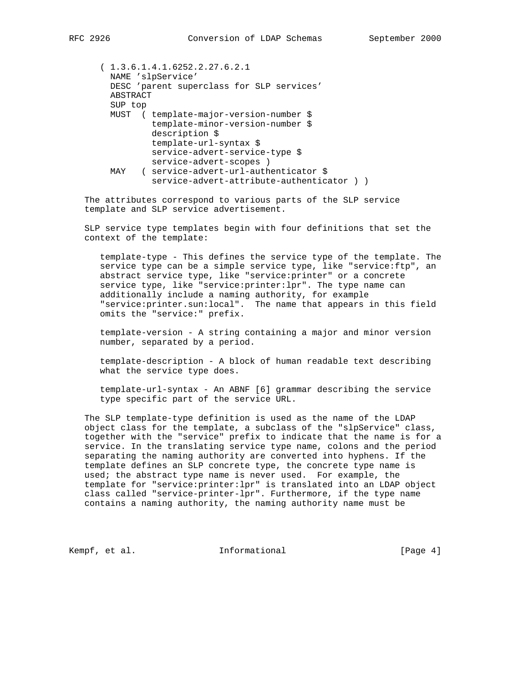( 1.3.6.1.4.1.6252.2.27.6.2.1 NAME 'slpService' DESC 'parent superclass for SLP services' ABSTRACT SUP top MUST ( template-major-version-number \$ template-minor-version-number \$ description \$ template-url-syntax \$ service-advert-service-type \$ service-advert-scopes ) MAY ( service-advert-url-authenticator \$ service-advert-attribute-authenticator ) )

 The attributes correspond to various parts of the SLP service template and SLP service advertisement.

 SLP service type templates begin with four definitions that set the context of the template:

 template-type - This defines the service type of the template. The service type can be a simple service type, like "service:ftp", an abstract service type, like "service:printer" or a concrete service type, like "service:printer:lpr". The type name can additionally include a naming authority, for example "service:printer.sun:local". The name that appears in this field omits the "service:" prefix.

 template-version - A string containing a major and minor version number, separated by a period.

 template-description - A block of human readable text describing what the service type does.

 template-url-syntax - An ABNF [6] grammar describing the service type specific part of the service URL.

 The SLP template-type definition is used as the name of the LDAP object class for the template, a subclass of the "slpService" class, together with the "service" prefix to indicate that the name is for a service. In the translating service type name, colons and the period separating the naming authority are converted into hyphens. If the template defines an SLP concrete type, the concrete type name is used; the abstract type name is never used. For example, the template for "service:printer:lpr" is translated into an LDAP object class called "service-printer-lpr". Furthermore, if the type name contains a naming authority, the naming authority name must be

Kempf, et al. **Informational** [Page 4]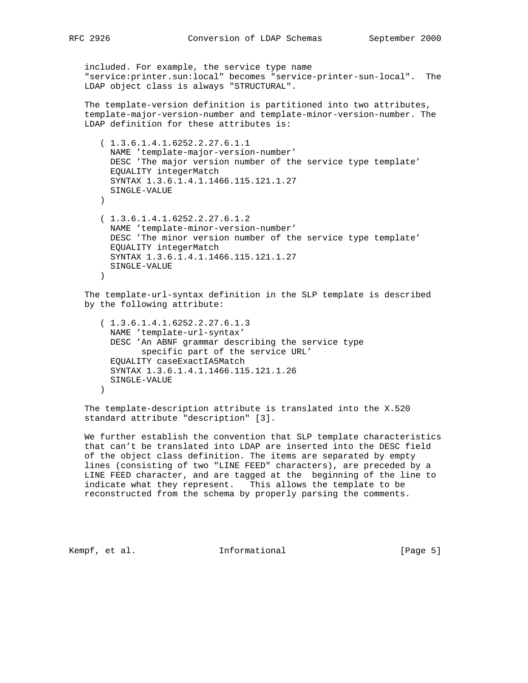included. For example, the service type name "service:printer.sun:local" becomes "service-printer-sun-local". The LDAP object class is always "STRUCTURAL".

 The template-version definition is partitioned into two attributes, template-major-version-number and template-minor-version-number. The LDAP definition for these attributes is:

```
 ( 1.3.6.1.4.1.6252.2.27.6.1.1
  NAME 'template-major-version-number'
  DESC 'The major version number of the service type template'
  EQUALITY integerMatch
  SYNTAX 1.3.6.1.4.1.1466.115.121.1.27
  SINGLE-VALUE
\left( \right) ( 1.3.6.1.4.1.6252.2.27.6.1.2
  NAME 'template-minor-version-number'
  DESC 'The minor version number of the service type template'
  EQUALITY integerMatch
  SYNTAX 1.3.6.1.4.1.1466.115.121.1.27
  SINGLE-VALUE
```

```
 )
```
 The template-url-syntax definition in the SLP template is described by the following attribute:

```
 ( 1.3.6.1.4.1.6252.2.27.6.1.3
  NAME 'template-url-syntax'
  DESC 'An ABNF grammar describing the service type
         specific part of the service URL'
  EQUALITY caseExactIA5Match
  SYNTAX 1.3.6.1.4.1.1466.115.121.1.26
  SINGLE-VALUE
 )
```
 The template-description attribute is translated into the X.520 standard attribute "description" [3].

 We further establish the convention that SLP template characteristics that can't be translated into LDAP are inserted into the DESC field of the object class definition. The items are separated by empty lines (consisting of two "LINE FEED" characters), are preceded by a LINE FEED character, and are tagged at the beginning of the line to indicate what they represent. This allows the template to be reconstructed from the schema by properly parsing the comments.

Kempf, et al.  $I_n$  Informational  $[Page 5]$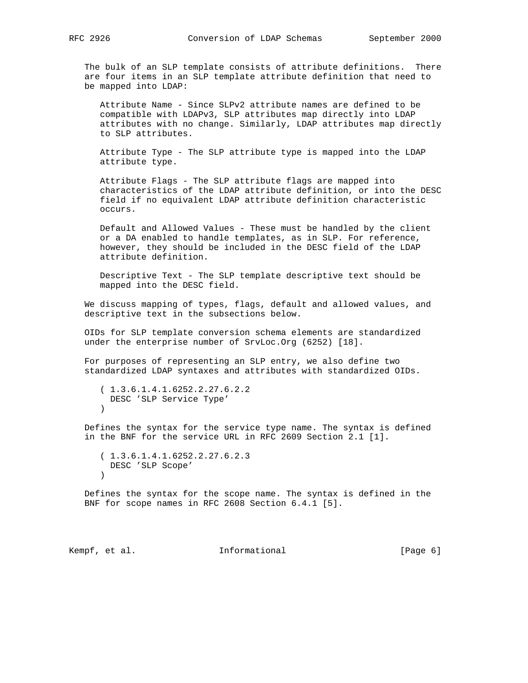The bulk of an SLP template consists of attribute definitions. There are four items in an SLP template attribute definition that need to be mapped into LDAP:

 Attribute Name - Since SLPv2 attribute names are defined to be compatible with LDAPv3, SLP attributes map directly into LDAP attributes with no change. Similarly, LDAP attributes map directly to SLP attributes.

 Attribute Type - The SLP attribute type is mapped into the LDAP attribute type.

 Attribute Flags - The SLP attribute flags are mapped into characteristics of the LDAP attribute definition, or into the DESC field if no equivalent LDAP attribute definition characteristic occurs.

 Default and Allowed Values - These must be handled by the client or a DA enabled to handle templates, as in SLP. For reference, however, they should be included in the DESC field of the LDAP attribute definition.

 Descriptive Text - The SLP template descriptive text should be mapped into the DESC field.

 We discuss mapping of types, flags, default and allowed values, and descriptive text in the subsections below.

 OIDs for SLP template conversion schema elements are standardized under the enterprise number of SrvLoc.Org (6252) [18].

 For purposes of representing an SLP entry, we also define two standardized LDAP syntaxes and attributes with standardized OIDs.

 ( 1.3.6.1.4.1.6252.2.27.6.2.2 DESC 'SLP Service Type'  $)$ 

 Defines the syntax for the service type name. The syntax is defined in the BNF for the service URL in RFC 2609 Section 2.1 [1].

```
 ( 1.3.6.1.4.1.6252.2.27.6.2.3
  DESC 'SLP Scope'
 )
```
 Defines the syntax for the scope name. The syntax is defined in the BNF for scope names in RFC 2608 Section 6.4.1 [5].

Kempf, et al. 1nformational 1999 [Page 6]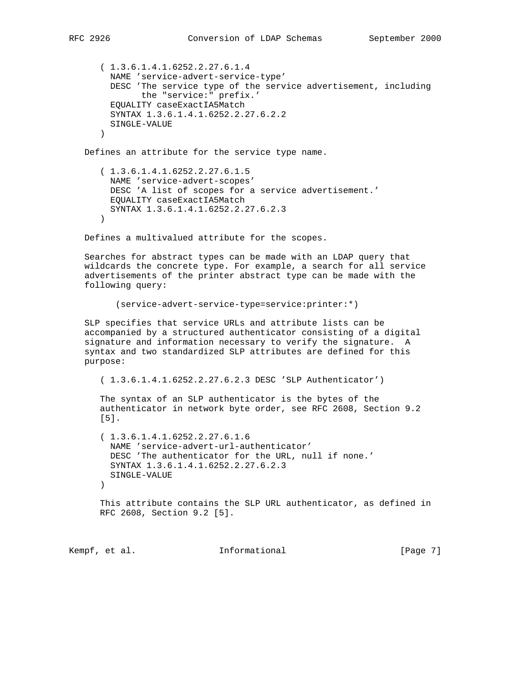```
 ( 1.3.6.1.4.1.6252.2.27.6.1.4
  NAME 'service-advert-service-type'
  DESC 'The service type of the service advertisement, including
         the "service:" prefix.'
  EQUALITY caseExactIA5Match
  SYNTAX 1.3.6.1.4.1.6252.2.27.6.2.2
  SINGLE-VALUE
\left( \right)
```
Defines an attribute for the service type name.

 ( 1.3.6.1.4.1.6252.2.27.6.1.5 NAME 'service-advert-scopes' DESC 'A list of scopes for a service advertisement.' EQUALITY caseExactIA5Match SYNTAX 1.3.6.1.4.1.6252.2.27.6.2.3 )

Defines a multivalued attribute for the scopes.

 Searches for abstract types can be made with an LDAP query that wildcards the concrete type. For example, a search for all service advertisements of the printer abstract type can be made with the following query:

```
 (service-advert-service-type=service:printer:*)
```
 SLP specifies that service URLs and attribute lists can be accompanied by a structured authenticator consisting of a digital signature and information necessary to verify the signature. A syntax and two standardized SLP attributes are defined for this purpose:

( 1.3.6.1.4.1.6252.2.27.6.2.3 DESC 'SLP Authenticator')

 The syntax of an SLP authenticator is the bytes of the authenticator in network byte order, see RFC 2608, Section 9.2 [5].

```
 ( 1.3.6.1.4.1.6252.2.27.6.1.6
  NAME 'service-advert-url-authenticator'
  DESC 'The authenticator for the URL, null if none.'
  SYNTAX 1.3.6.1.4.1.6252.2.27.6.2.3
  SINGLE-VALUE
\left( \right)
```
 This attribute contains the SLP URL authenticator, as defined in RFC 2608, Section 9.2 [5].

Kempf, et al.  $I_n$  Informational  $[Page 7]$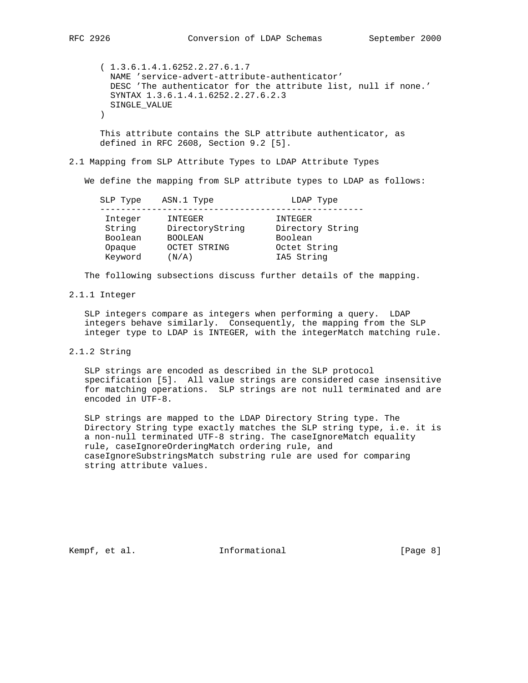( 1.3.6.1.4.1.6252.2.27.6.1.7 NAME 'service-advert-attribute-authenticator' DESC 'The authenticator for the attribute list, null if none.' SYNTAX 1.3.6.1.4.1.6252.2.27.6.2.3 SINGLE\_VALUE  $\left( \right)$ 

 This attribute contains the SLP attribute authenticator, as defined in RFC 2608, Section 9.2 [5].

## 2.1 Mapping from SLP Attribute Types to LDAP Attribute Types

We define the mapping from SLP attribute types to LDAP as follows:

| SLP Type          | ASN.1 Type                 | LDAP Type                   |
|-------------------|----------------------------|-----------------------------|
| Integer<br>String | INTEGER<br>DirectoryString | INTEGER<br>Directory String |
| Boolean           | <b>BOOLEAN</b>             | Boolean                     |
| Opaque            | OCTET STRING               | Octet String                |
| Keyword           | (N/A)                      | IA5 String                  |

The following subsections discuss further details of the mapping.

#### 2.1.1 Integer

 SLP integers compare as integers when performing a query. LDAP integers behave similarly. Consequently, the mapping from the SLP integer type to LDAP is INTEGER, with the integerMatch matching rule.

2.1.2 String

 SLP strings are encoded as described in the SLP protocol specification [5]. All value strings are considered case insensitive for matching operations. SLP strings are not null terminated and are encoded in UTF-8.

 SLP strings are mapped to the LDAP Directory String type. The Directory String type exactly matches the SLP string type, i.e. it is a non-null terminated UTF-8 string. The caseIgnoreMatch equality rule, caseIgnoreOrderingMatch ordering rule, and caseIgnoreSubstringsMatch substring rule are used for comparing string attribute values.

Kempf, et al. 10 Informational 10 [Page 8]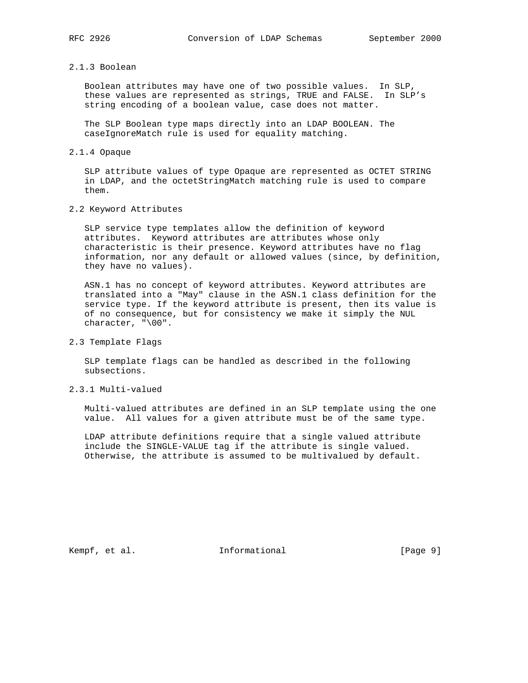#### 2.1.3 Boolean

 Boolean attributes may have one of two possible values. In SLP, these values are represented as strings, TRUE and FALSE. In SLP's string encoding of a boolean value, case does not matter.

 The SLP Boolean type maps directly into an LDAP BOOLEAN. The caseIgnoreMatch rule is used for equality matching.

## 2.1.4 Opaque

 SLP attribute values of type Opaque are represented as OCTET STRING in LDAP, and the octetStringMatch matching rule is used to compare them.

## 2.2 Keyword Attributes

 SLP service type templates allow the definition of keyword attributes. Keyword attributes are attributes whose only characteristic is their presence. Keyword attributes have no flag information, nor any default or allowed values (since, by definition, they have no values).

 ASN.1 has no concept of keyword attributes. Keyword attributes are translated into a "May" clause in the ASN.1 class definition for the service type. If the keyword attribute is present, then its value is of no consequence, but for consistency we make it simply the NUL character, "\00".

#### 2.3 Template Flags

 SLP template flags can be handled as described in the following subsections.

# 2.3.1 Multi-valued

 Multi-valued attributes are defined in an SLP template using the one value. All values for a given attribute must be of the same type.

 LDAP attribute definitions require that a single valued attribute include the SINGLE-VALUE tag if the attribute is single valued. Otherwise, the attribute is assumed to be multivalued by default.

Kempf, et al. 10 Informational 10 [Page 9]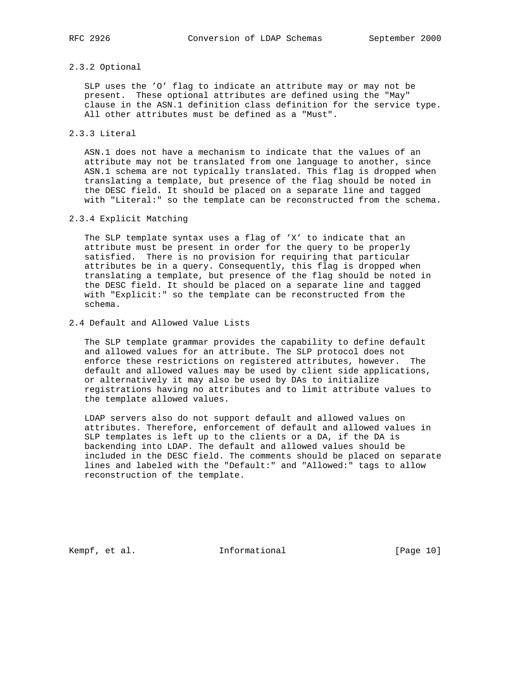## 2.3.2 Optional

 SLP uses the 'O' flag to indicate an attribute may or may not be present. These optional attributes are defined using the "May" clause in the ASN.1 definition class definition for the service type. All other attributes must be defined as a "Must".

# 2.3.3 Literal

 ASN.1 does not have a mechanism to indicate that the values of an attribute may not be translated from one language to another, since ASN.1 schema are not typically translated. This flag is dropped when translating a template, but presence of the flag should be noted in the DESC field. It should be placed on a separate line and tagged with "Literal:" so the template can be reconstructed from the schema.

# 2.3.4 Explicit Matching

 The SLP template syntax uses a flag of 'X' to indicate that an attribute must be present in order for the query to be properly satisfied. There is no provision for requiring that particular attributes be in a query. Consequently, this flag is dropped when translating a template, but presence of the flag should be noted in the DESC field. It should be placed on a separate line and tagged with "Explicit:" so the template can be reconstructed from the schema.

#### 2.4 Default and Allowed Value Lists

 The SLP template grammar provides the capability to define default and allowed values for an attribute. The SLP protocol does not enforce these restrictions on registered attributes, however. The default and allowed values may be used by client side applications, or alternatively it may also be used by DAs to initialize registrations having no attributes and to limit attribute values to the template allowed values.

 LDAP servers also do not support default and allowed values on attributes. Therefore, enforcement of default and allowed values in SLP templates is left up to the clients or a DA, if the DA is backending into LDAP. The default and allowed values should be included in the DESC field. The comments should be placed on separate lines and labeled with the "Default:" and "Allowed:" tags to allow reconstruction of the template.

Kempf, et al. 10 1nformational 10 [Page 10]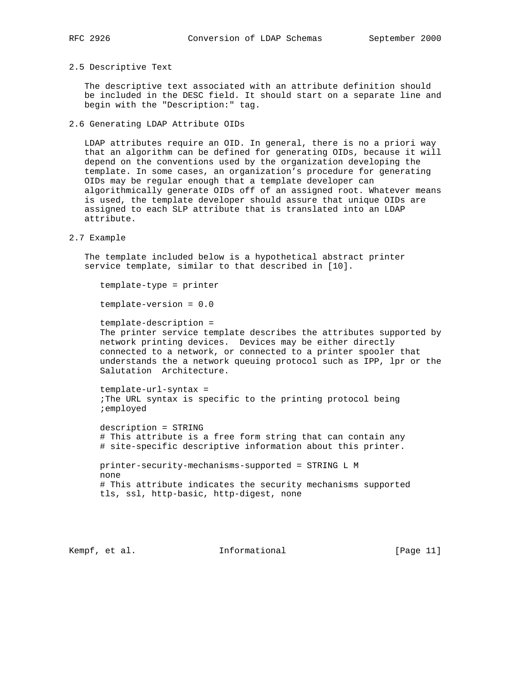#### 2.5 Descriptive Text

 The descriptive text associated with an attribute definition should be included in the DESC field. It should start on a separate line and begin with the "Description:" tag.

2.6 Generating LDAP Attribute OIDs

 LDAP attributes require an OID. In general, there is no a priori way that an algorithm can be defined for generating OIDs, because it will depend on the conventions used by the organization developing the template. In some cases, an organization's procedure for generating OIDs may be regular enough that a template developer can algorithmically generate OIDs off of an assigned root. Whatever means is used, the template developer should assure that unique OIDs are assigned to each SLP attribute that is translated into an LDAP attribute.

#### 2.7 Example

 The template included below is a hypothetical abstract printer service template, similar to that described in [10].

template-type = printer

template-version = 0.0

 template-description = The printer service template describes the attributes supported by network printing devices. Devices may be either directly connected to a network, or connected to a printer spooler that understands the a network queuing protocol such as IPP, lpr or the Salutation Architecture.

 template-url-syntax = ;The URL syntax is specific to the printing protocol being ;employed

 description = STRING # This attribute is a free form string that can contain any # site-specific descriptive information about this printer.

 printer-security-mechanisms-supported = STRING L M none # This attribute indicates the security mechanisms supported tls, ssl, http-basic, http-digest, none

Kempf, et al. **Informational** [Page 11]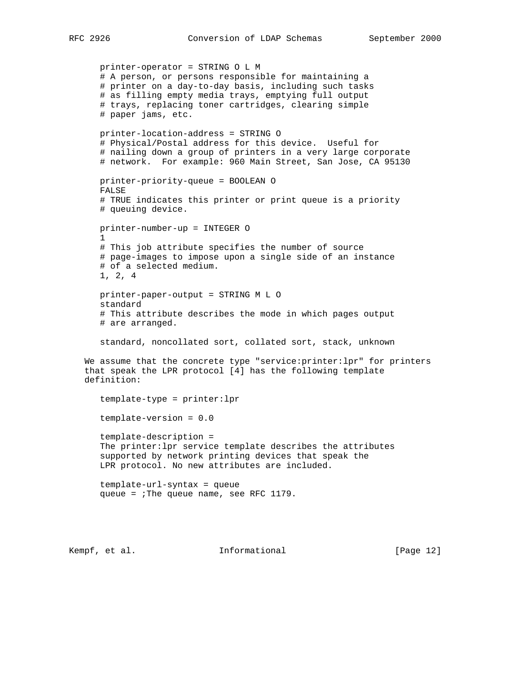printer-operator = STRING O L M # A person, or persons responsible for maintaining a # printer on a day-to-day basis, including such tasks # as filling empty media trays, emptying full output # trays, replacing toner cartridges, clearing simple # paper jams, etc. printer-location-address = STRING O # Physical/Postal address for this device. Useful for # nailing down a group of printers in a very large corporate # network. For example: 960 Main Street, San Jose, CA 95130 printer-priority-queue = BOOLEAN O FALSE # TRUE indicates this printer or print queue is a priority # queuing device. printer-number-up = INTEGER O 1 # This job attribute specifies the number of source # page-images to impose upon a single side of an instance # of a selected medium. 1, 2, 4 printer-paper-output = STRING M L O standard # This attribute describes the mode in which pages output # are arranged. standard, noncollated sort, collated sort, stack, unknown We assume that the concrete type "service:printer:lpr" for printers that speak the LPR protocol [4] has the following template definition: template-type = printer:lpr template-version = 0.0 template-description = The printer:lpr service template describes the attributes supported by network printing devices that speak the LPR protocol. No new attributes are included. template-url-syntax = queue queue = ;The queue name, see RFC 1179.

Kempf, et al. **Informational** [Page 12]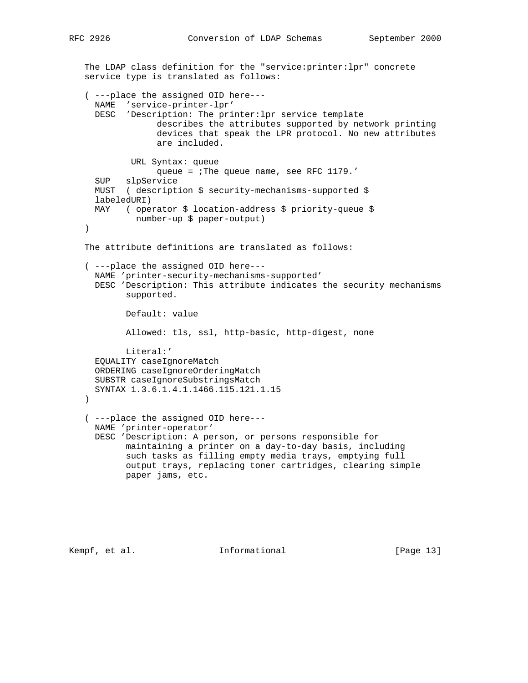RFC 2926 Conversion of LDAP Schemas September 2000

```
 The LDAP class definition for the "service:printer:lpr" concrete
 service type is translated as follows:
 ( ---place the assigned OID here---
  NAME 'service-printer-lpr'
  DESC 'Description: The printer:lpr service template
               describes the attributes supported by network printing
               devices that speak the LPR protocol. No new attributes
               are included.
          URL Syntax: queue
               queue = ;The queue name, see RFC 1179.'
   SUP slpService
  MUST ( description $ security-mechanisms-supported $
   labeledURI)
  MAY ( operator $ location-address $ priority-queue $
          number-up $ paper-output)
 )
 The attribute definitions are translated as follows:
 ( ---place the assigned OID here---
  NAME 'printer-security-mechanisms-supported'
  DESC 'Description: This attribute indicates the security mechanisms
         supported.
         Default: value
         Allowed: tls, ssl, http-basic, http-digest, none
         Literal:'
  EQUALITY caseIgnoreMatch
  ORDERING caseIgnoreOrderingMatch
  SUBSTR caseIgnoreSubstringsMatch
  SYNTAX 1.3.6.1.4.1.1466.115.121.1.15
 )
 ( ---place the assigned OID here---
  NAME 'printer-operator'
  DESC 'Description: A person, or persons responsible for
         maintaining a printer on a day-to-day basis, including
         such tasks as filling empty media trays, emptying full
         output trays, replacing toner cartridges, clearing simple
         paper jams, etc.
```
Kempf, et al. 10 Informational 11 [Page 13]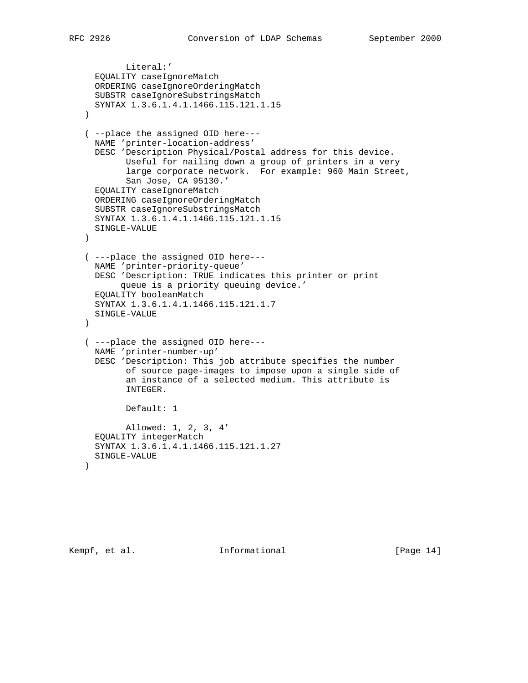```
 Literal:'
  EQUALITY caseIgnoreMatch
  ORDERING caseIgnoreOrderingMatch
  SUBSTR caseIgnoreSubstringsMatch
  SYNTAX 1.3.6.1.4.1.1466.115.121.1.15
 )
 ( --place the assigned OID here---
  NAME 'printer-location-address'
  DESC 'Description Physical/Postal address for this device.
         Useful for nailing down a group of printers in a very
         large corporate network. For example: 960 Main Street,
         San Jose, CA 95130.'
  EQUALITY caseIgnoreMatch
  ORDERING caseIgnoreOrderingMatch
  SUBSTR caseIgnoreSubstringsMatch
  SYNTAX 1.3.6.1.4.1.1466.115.121.1.15
  SINGLE-VALUE
\lambda ( ---place the assigned OID here---
  NAME 'printer-priority-queue'
  DESC 'Description: TRUE indicates this printer or print
       queue is a priority queuing device.'
  EQUALITY booleanMatch
  SYNTAX 1.3.6.1.4.1.1466.115.121.1.7
  SINGLE-VALUE
 )
 ( ---place the assigned OID here---
  NAME 'printer-number-up'
  DESC 'Description: This job attribute specifies the number
         of source page-images to impose upon a single side of
         an instance of a selected medium. This attribute is
         INTEGER.
         Default: 1
         Allowed: 1, 2, 3, 4'
  EQUALITY integerMatch
  SYNTAX 1.3.6.1.4.1.1466.115.121.1.27
  SINGLE-VALUE
 )
```
Kempf, et al. 10. Informational 1. [Page 14]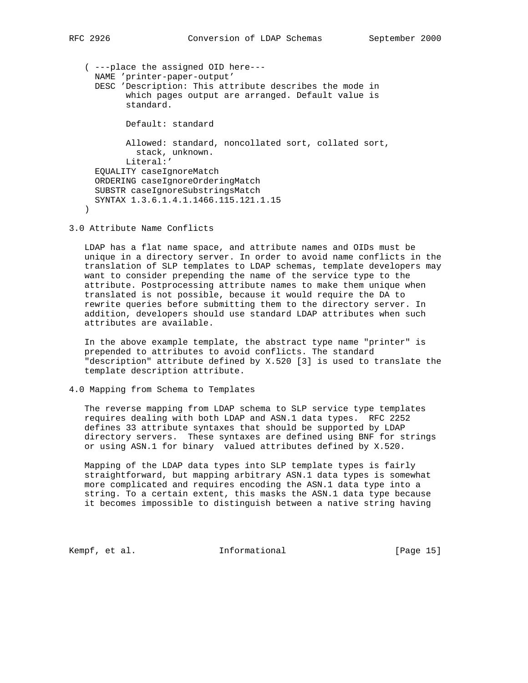```
 ( ---place the assigned OID here---
     NAME 'printer-paper-output'
     DESC 'Description: This attribute describes the mode in
            which pages output are arranged. Default value is
            standard.
            Default: standard
            Allowed: standard, noncollated sort, collated sort,
             stack, unknown.
            Literal:'
     EQUALITY caseIgnoreMatch
     ORDERING caseIgnoreOrderingMatch
      SUBSTR caseIgnoreSubstringsMatch
     SYNTAX 1.3.6.1.4.1.1466.115.121.1.15
\qquad \qquad
```
3.0 Attribute Name Conflicts

 LDAP has a flat name space, and attribute names and OIDs must be unique in a directory server. In order to avoid name conflicts in the translation of SLP templates to LDAP schemas, template developers may want to consider prepending the name of the service type to the attribute. Postprocessing attribute names to make them unique when translated is not possible, because it would require the DA to rewrite queries before submitting them to the directory server. In addition, developers should use standard LDAP attributes when such attributes are available.

 In the above example template, the abstract type name "printer" is prepended to attributes to avoid conflicts. The standard "description" attribute defined by X.520 [3] is used to translate the template description attribute.

4.0 Mapping from Schema to Templates

 The reverse mapping from LDAP schema to SLP service type templates requires dealing with both LDAP and ASN.1 data types. RFC 2252 defines 33 attribute syntaxes that should be supported by LDAP directory servers. These syntaxes are defined using BNF for strings or using ASN.1 for binary valued attributes defined by X.520.

 Mapping of the LDAP data types into SLP template types is fairly straightforward, but mapping arbitrary ASN.1 data types is somewhat more complicated and requires encoding the ASN.1 data type into a string. To a certain extent, this masks the ASN.1 data type because it becomes impossible to distinguish between a native string having

Kempf, et al. **Informational** [Page 15]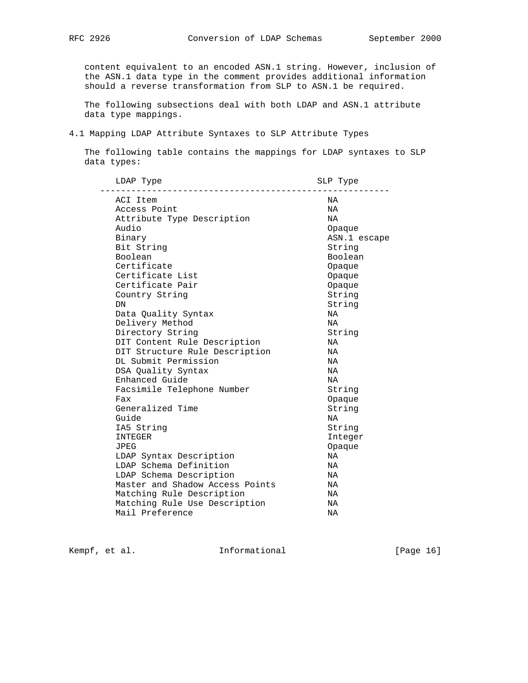content equivalent to an encoded ASN.1 string. However, inclusion of the ASN.1 data type in the comment provides additional information should a reverse transformation from SLP to ASN.1 be required.

 The following subsections deal with both LDAP and ASN.1 attribute data type mappings.

#### 4.1 Mapping LDAP Attribute Syntaxes to SLP Attribute Types

 The following table contains the mappings for LDAP syntaxes to SLP data types:

| LDAP Type                       | SLP Type     |
|---------------------------------|--------------|
| ACI Item                        | NA           |
| Access Point                    | NA           |
| Attribute Type Description      | ΝA           |
| Audio                           | Opaque       |
| Binary                          | ASN.1 escape |
| Bit String                      | String       |
| Boolean                         | Boolean      |
| Certificate                     | Opaque       |
| Certificate List                | Opaque       |
| Certificate Pair                | Opaque       |
| Country String                  | String       |
| DN                              | String       |
| Data Quality Syntax             | NA           |
| Delivery Method                 | NA           |
| Directory String                | String       |
| DIT Content Rule Description    | ΝA           |
| DIT Structure Rule Description  | NA           |
| DL Submit Permission            | NA           |
| DSA Quality Syntax              | <b>NA</b>    |
| Enhanced Guide                  | <b>NA</b>    |
| Facsimile Telephone Number      | String       |
| Fax                             | Opaque       |
| Generalized Time                | String       |
| Guide                           | NA           |
| IA5 String                      | String       |
| <b>INTEGER</b>                  | Integer      |
| JPEG                            | Opaque       |
| LDAP Syntax Description         | ΝA           |
| LDAP Schema Definition          | ΝA           |
| LDAP Schema Description         | NA           |
| Master and Shadow Access Points | ΝA           |
| Matching Rule Description       | ΝA           |
| Matching Rule Use Description   | ΝA           |
| Mail Preference                 | ΝA           |

Kempf, et al. 10. Informational 1. [Page 16]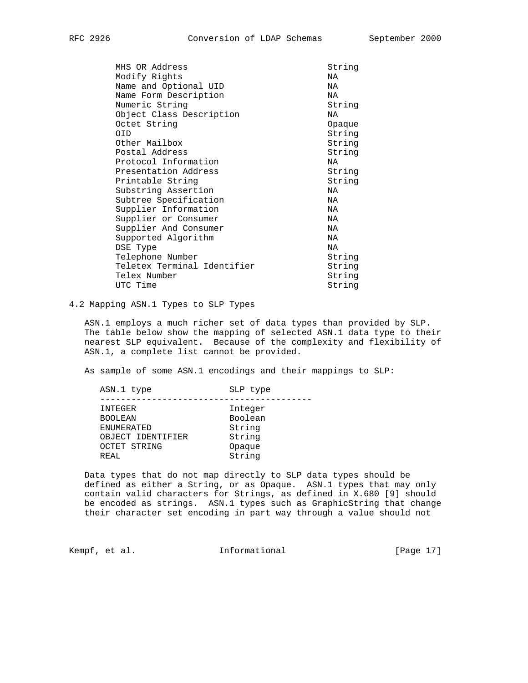| MHS OR Address              | String |
|-----------------------------|--------|
| Modify Rights               | ΝA     |
| Name and Optional UID       | NA     |
| Name Form Description       | NA     |
| Numeric String              | String |
| Object Class Description    | NA     |
| Octet String                | Opaque |
| 0ID                         | String |
| Other Mailbox               | String |
| Postal Address              | String |
| Protocol Information        | ΝA     |
| Presentation Address        | String |
| Printable String            | String |
| Substring Assertion         | NA     |
| Subtree Specification       | NA     |
| Supplier Information        | NA     |
| Supplier or Consumer        | NA     |
| Supplier And Consumer       | NA     |
| Supported Algorithm         | NA     |
| DSE Type                    | NA     |
| Telephone Number            | String |
| Teletex Terminal Identifier | String |
| Telex Number                | String |
| UTC Time                    | String |
|                             |        |

# 4.2 Mapping ASN.1 Types to SLP Types

 ASN.1 employs a much richer set of data types than provided by SLP. The table below show the mapping of selected ASN.1 data type to their nearest SLP equivalent. Because of the complexity and flexibility of ASN.1, a complete list cannot be provided.

As sample of some ASN.1 encodings and their mappings to SLP:

| ASN.1 type        | SLP type |
|-------------------|----------|
|                   |          |
| INTEGER           | Integer  |
| <b>BOOLEAN</b>    | Boolean  |
| <b>ENUMERATED</b> | String   |
| OBJECT IDENTIFIER | String   |
| OCTET STRING      | Opaque   |
| REAL              | String   |
|                   |          |

 Data types that do not map directly to SLP data types should be defined as either a String, or as Opaque. ASN.1 types that may only contain valid characters for Strings, as defined in X.680 [9] should be encoded as strings. ASN.1 types such as GraphicString that change their character set encoding in part way through a value should not

Kempf, et al. 10. Informational 1. [Page 17]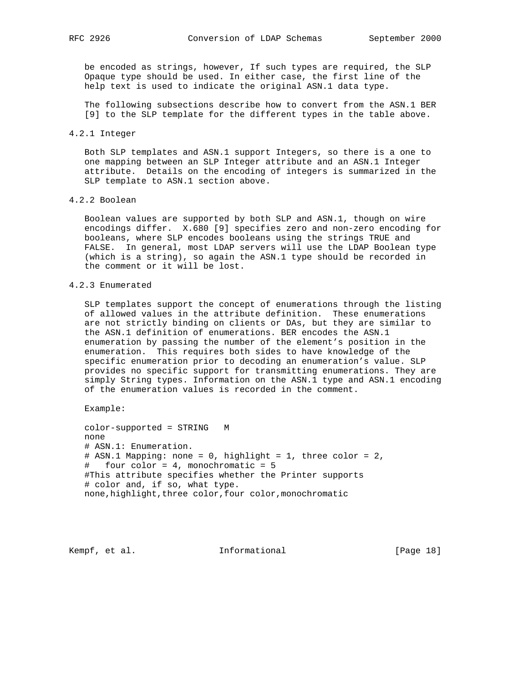be encoded as strings, however, If such types are required, the SLP Opaque type should be used. In either case, the first line of the help text is used to indicate the original ASN.1 data type.

 The following subsections describe how to convert from the ASN.1 BER [9] to the SLP template for the different types in the table above.

#### 4.2.1 Integer

 Both SLP templates and ASN.1 support Integers, so there is a one to one mapping between an SLP Integer attribute and an ASN.1 Integer attribute. Details on the encoding of integers is summarized in the SLP template to ASN.1 section above.

## 4.2.2 Boolean

 Boolean values are supported by both SLP and ASN.1, though on wire encodings differ. X.680 [9] specifies zero and non-zero encoding for booleans, where SLP encodes booleans using the strings TRUE and FALSE. In general, most LDAP servers will use the LDAP Boolean type (which is a string), so again the ASN.1 type should be recorded in the comment or it will be lost.

#### 4.2.3 Enumerated

 SLP templates support the concept of enumerations through the listing of allowed values in the attribute definition. These enumerations are not strictly binding on clients or DAs, but they are similar to the ASN.1 definition of enumerations. BER encodes the ASN.1 enumeration by passing the number of the element's position in the enumeration. This requires both sides to have knowledge of the specific enumeration prior to decoding an enumeration's value. SLP provides no specific support for transmitting enumerations. They are simply String types. Information on the ASN.1 type and ASN.1 encoding of the enumeration values is recorded in the comment.

Example:

 color-supported = STRING M none # ASN.1: Enumeration. # ASN.1 Mapping: none = 0, highlight = 1, three color = 2, # four color = 4, monochromatic = 5 #This attribute specifies whether the Printer supports # color and, if so, what type. none,highlight,three color,four color,monochromatic

Kempf, et al. 10. Informational 1. [Page 18]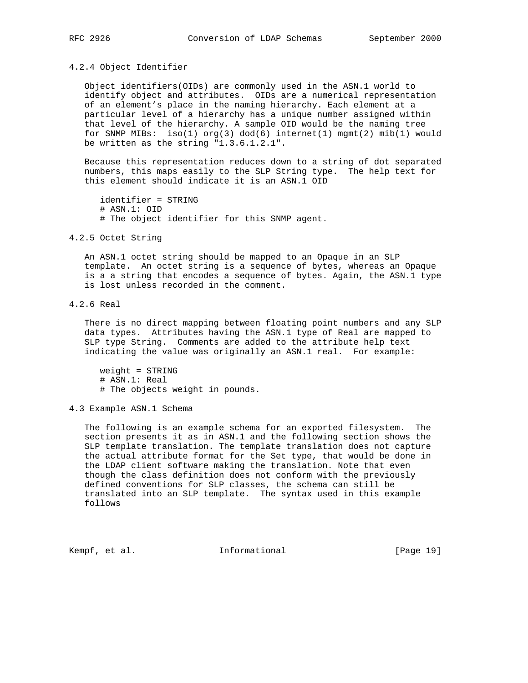#### 4.2.4 Object Identifier

 Object identifiers(OIDs) are commonly used in the ASN.1 world to identify object and attributes. OIDs are a numerical representation of an element's place in the naming hierarchy. Each element at a particular level of a hierarchy has a unique number assigned within that level of the hierarchy. A sample OID would be the naming tree for SNMP MIBs: iso(1) org(3) dod(6) internet(1) mgmt(2) mib(1) would be written as the string "1.3.6.1.2.1".

 Because this representation reduces down to a string of dot separated numbers, this maps easily to the SLP String type. The help text for this element should indicate it is an ASN.1 OID

 identifier = STRING # ASN.1: OID # The object identifier for this SNMP agent.

#### 4.2.5 Octet String

 An ASN.1 octet string should be mapped to an Opaque in an SLP template. An octet string is a sequence of bytes, whereas an Opaque is a a string that encodes a sequence of bytes. Again, the ASN.1 type is lost unless recorded in the comment.

### 4.2.6 Real

 There is no direct mapping between floating point numbers and any SLP data types. Attributes having the ASN.1 type of Real are mapped to SLP type String. Comments are added to the attribute help text indicating the value was originally an ASN.1 real. For example:

 weight = STRING # ASN.1: Real # The objects weight in pounds.

4.3 Example ASN.1 Schema

 The following is an example schema for an exported filesystem. The section presents it as in ASN.1 and the following section shows the SLP template translation. The template translation does not capture the actual attribute format for the Set type, that would be done in the LDAP client software making the translation. Note that even though the class definition does not conform with the previously defined conventions for SLP classes, the schema can still be translated into an SLP template. The syntax used in this example follows

Kempf, et al. 10. Informational [Page 19]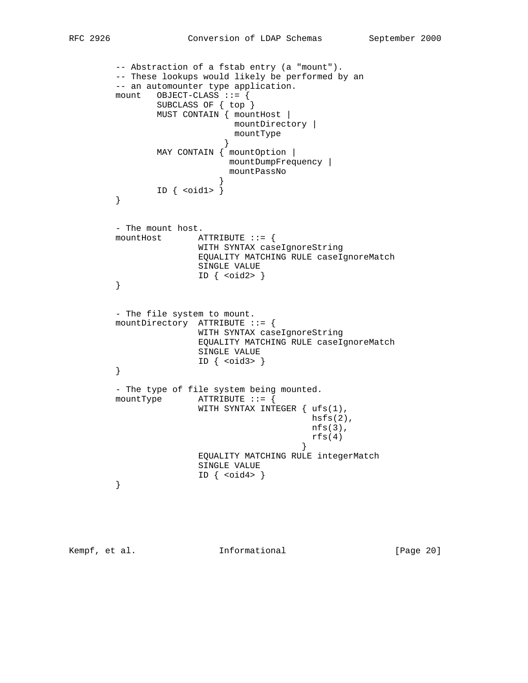```
 -- Abstraction of a fstab entry (a "mount").
        -- These lookups would likely be performed by an
        -- an automounter type application.
        mount OBJECT-CLASS ::= {
               SUBCLASS OF { top }
               MUST CONTAIN { mountHost |
                             mountDirectory |
                            mountType
 }
                MAY CONTAIN { mountOption |
                            mountDumpFrequency |
                            mountPassNo
 }
        ID { & <oid1> }\n} }
        - The mount host.
        mountHost ATTRIBUTE ::= {
                      WITH SYNTAX caseIgnoreString
                      EQUALITY MATCHING RULE caseIgnoreMatch
                      SINGLE VALUE
                     ID \{ \text{cold2>} \} }
        - The file system to mount.
        mountDirectory ATTRIBUTE ::= {
                       WITH SYNTAX caseIgnoreString
                       EQUALITY MATCHING RULE caseIgnoreMatch
                       SINGLE VALUE
                      ID \{\text{cold3>}\} }
        - The type of file system being mounted.
        mountType ATTRIBUTE ::= {
                       WITH SYNTAX INTEGER { ufs(1),
                                         hsfs(2),
                                          nfs(3),
                                         rfs(4) }
                       EQUALITY MATCHING RULE integerMatch
                       SINGLE VALUE
        ID \{ solid4 > \} }
```
Kempf, et al. 1nformational [Page 20]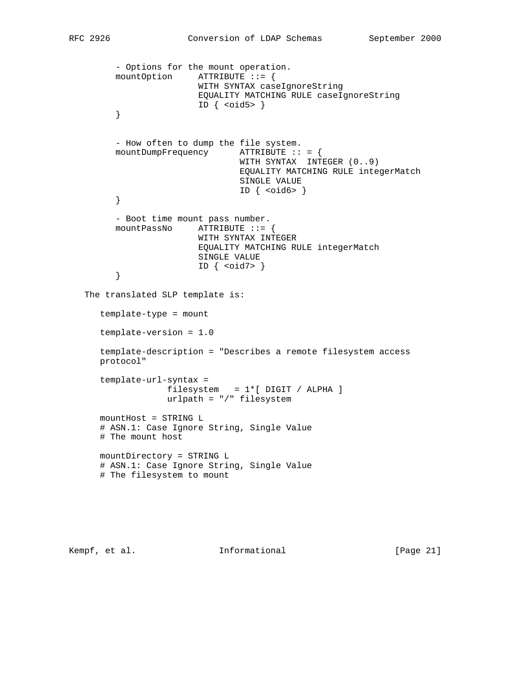```
 - Options for the mount operation.
       mountOption ATTRIBUTE ::= {
                        WITH SYNTAX caseIgnoreString
                        EQUALITY MATCHING RULE caseIgnoreString
                       ID \{ \text{cold5} > \} }
       - How often to dump the file system.
       mountDumpFrequency ATTRIBUTE :: = {
                                WITH SYNTAX INTEGER (0..9)
                                EQUALITY MATCHING RULE integerMatch
                                SINGLE VALUE
                               ID \{\text{ <oid6> }\} }
       - Boot time mount pass number.
       mountPassNo ATTRIBUTE ::= {
                       WITH SYNTAX INTEGER
                       EQUALITY MATCHING RULE integerMatch
                       SINGLE VALUE
                       ID \{\text{cold7> }\} }
 The translated SLP template is:
    template-type = mount
    template-version = 1.0
    template-description = "Describes a remote filesystem access
   protocol"
    template-url-syntax =
                 filesystem = 1*[ DIGIT / ALPHA ]
                 urlpath = "/" filesystem
   mountHost = STRING L
    # ASN.1: Case Ignore String, Single Value
    # The mount host
   mountDirectory = STRING L
    # ASN.1: Case Ignore String, Single Value
    # The filesystem to mount
```
Kempf, et al. 1nformational [Page 21]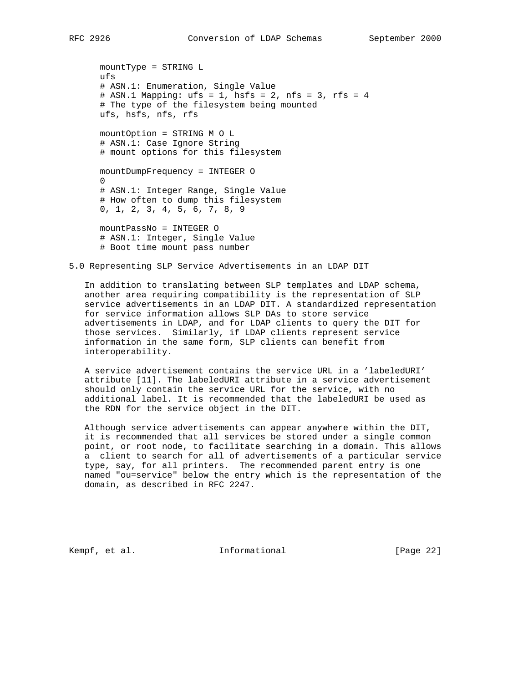mountType = STRING L ufs # ASN.1: Enumeration, Single Value # ASN.1 Mapping: ufs = 1, hsfs = 2, nfs = 3, rfs = 4 # The type of the filesystem being mounted ufs, hsfs, nfs, rfs mountOption = STRING M O L # ASN.1: Case Ignore String # mount options for this filesystem mountDumpFrequency = INTEGER O 0

 # ASN.1: Integer Range, Single Value # How often to dump this filesystem 0, 1, 2, 3, 4, 5, 6, 7, 8, 9

 mountPassNo = INTEGER O # ASN.1: Integer, Single Value # Boot time mount pass number

## 5.0 Representing SLP Service Advertisements in an LDAP DIT

 In addition to translating between SLP templates and LDAP schema, another area requiring compatibility is the representation of SLP service advertisements in an LDAP DIT. A standardized representation for service information allows SLP DAs to store service advertisements in LDAP, and for LDAP clients to query the DIT for those services. Similarly, if LDAP clients represent service information in the same form, SLP clients can benefit from interoperability.

 A service advertisement contains the service URL in a 'labeledURI' attribute [11]. The labeledURI attribute in a service advertisement should only contain the service URL for the service, with no additional label. It is recommended that the labeledURI be used as the RDN for the service object in the DIT.

 Although service advertisements can appear anywhere within the DIT, it is recommended that all services be stored under a single common point, or root node, to facilitate searching in a domain. This allows a client to search for all of advertisements of a particular service type, say, for all printers. The recommended parent entry is one named "ou=service" below the entry which is the representation of the domain, as described in RFC 2247.

Kempf, et al. **Informational** [Page 22]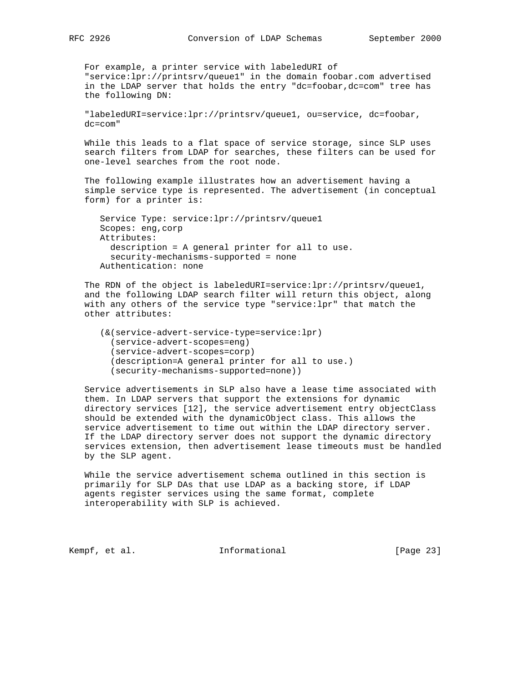For example, a printer service with labeledURI of "service:lpr://printsrv/queue1" in the domain foobar.com advertised in the LDAP server that holds the entry "dc=foobar,dc=com" tree has the following DN:

 "labeledURI=service:lpr://printsrv/queue1, ou=service, dc=foobar, dc=com"

 While this leads to a flat space of service storage, since SLP uses search filters from LDAP for searches, these filters can be used for one-level searches from the root node.

 The following example illustrates how an advertisement having a simple service type is represented. The advertisement (in conceptual form) for a printer is:

 Service Type: service:lpr://printsrv/queue1 Scopes: eng,corp Attributes: description = A general printer for all to use. security-mechanisms-supported = none Authentication: none

 The RDN of the object is labeledURI=service:lpr://printsrv/queue1, and the following LDAP search filter will return this object, along with any others of the service type "service:lpr" that match the other attributes:

```
 (&(service-advert-service-type=service:lpr)
   (service-advert-scopes=eng)
   (service-advert-scopes=corp)
   (description=A general printer for all to use.)
   (security-mechanisms-supported=none))
```
 Service advertisements in SLP also have a lease time associated with them. In LDAP servers that support the extensions for dynamic directory services [12], the service advertisement entry objectClass should be extended with the dynamicObject class. This allows the service advertisement to time out within the LDAP directory server. If the LDAP directory server does not support the dynamic directory services extension, then advertisement lease timeouts must be handled by the SLP agent.

 While the service advertisement schema outlined in this section is primarily for SLP DAs that use LDAP as a backing store, if LDAP agents register services using the same format, complete interoperability with SLP is achieved.

Kempf, et al. **Informational** [Page 23]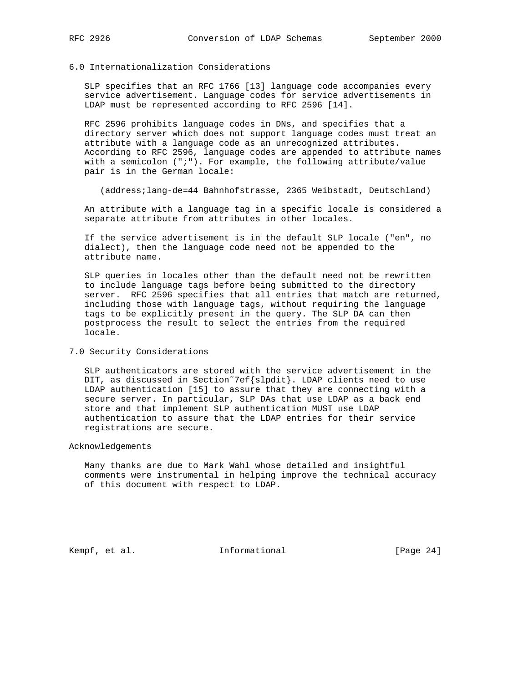# 6.0 Internationalization Considerations

 SLP specifies that an RFC 1766 [13] language code accompanies every service advertisement. Language codes for service advertisements in LDAP must be represented according to RFC 2596 [14].

 RFC 2596 prohibits language codes in DNs, and specifies that a directory server which does not support language codes must treat an attribute with a language code as an unrecognized attributes. According to RFC 2596, language codes are appended to attribute names with a semicolon (";"). For example, the following attribute/value pair is in the German locale:

(address;lang-de=44 Bahnhofstrasse, 2365 Weibstadt, Deutschland)

 An attribute with a language tag in a specific locale is considered a separate attribute from attributes in other locales.

 If the service advertisement is in the default SLP locale ("en", no dialect), then the language code need not be appended to the attribute name.

 SLP queries in locales other than the default need not be rewritten to include language tags before being submitted to the directory server. RFC 2596 specifies that all entries that match are returned, including those with language tags, without requiring the language tags to be explicitly present in the query. The SLP DA can then postprocess the result to select the entries from the required locale.

#### 7.0 Security Considerations

 SLP authenticators are stored with the service advertisement in the DIT, as discussed in Section˜7ef{slpdit}. LDAP clients need to use LDAP authentication [15] to assure that they are connecting with a secure server. In particular, SLP DAs that use LDAP as a back end store and that implement SLP authentication MUST use LDAP authentication to assure that the LDAP entries for their service registrations are secure.

## Acknowledgements

 Many thanks are due to Mark Wahl whose detailed and insightful comments were instrumental in helping improve the technical accuracy of this document with respect to LDAP.

Kempf, et al. 1nformational [Page 24]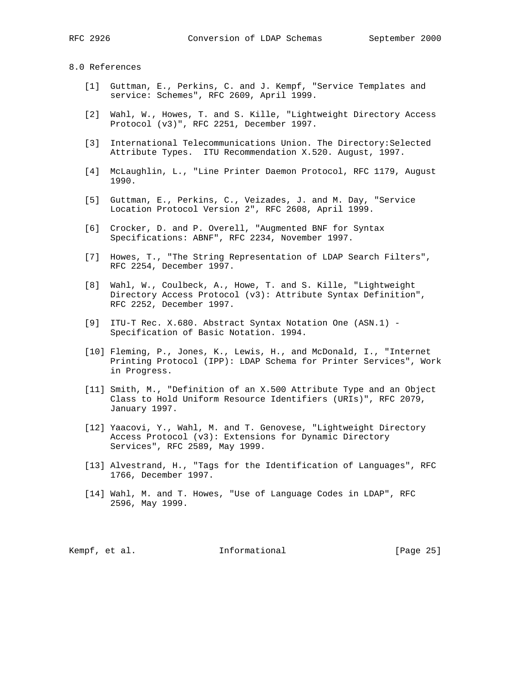#### 8.0 References

- [1] Guttman, E., Perkins, C. and J. Kempf, "Service Templates and service: Schemes", RFC 2609, April 1999.
- [2] Wahl, W., Howes, T. and S. Kille, "Lightweight Directory Access Protocol (v3)", RFC 2251, December 1997.
- [3] International Telecommunications Union. The Directory: Selected Attribute Types. ITU Recommendation X.520. August, 1997.
- [4] McLaughlin, L., "Line Printer Daemon Protocol, RFC 1179, August 1990.
- [5] Guttman, E., Perkins, C., Veizades, J. and M. Day, "Service Location Protocol Version 2", RFC 2608, April 1999.
- [6] Crocker, D. and P. Overell, "Augmented BNF for Syntax Specifications: ABNF", RFC 2234, November 1997.
- [7] Howes, T., "The String Representation of LDAP Search Filters", RFC 2254, December 1997.
- [8] Wahl, W., Coulbeck, A., Howe, T. and S. Kille, "Lightweight Directory Access Protocol (v3): Attribute Syntax Definition", RFC 2252, December 1997.
- [9] ITU-T Rec. X.680. Abstract Syntax Notation One (ASN.1) Specification of Basic Notation. 1994.
- [10] Fleming, P., Jones, K., Lewis, H., and McDonald, I., "Internet Printing Protocol (IPP): LDAP Schema for Printer Services", Work in Progress.
- [11] Smith, M., "Definition of an X.500 Attribute Type and an Object Class to Hold Uniform Resource Identifiers (URIs)", RFC 2079, January 1997.
- [12] Yaacovi, Y., Wahl, M. and T. Genovese, "Lightweight Directory Access Protocol (v3): Extensions for Dynamic Directory Services", RFC 2589, May 1999.
- [13] Alvestrand, H., "Tags for the Identification of Languages", RFC 1766, December 1997.
- [14] Wahl, M. and T. Howes, "Use of Language Codes in LDAP", RFC 2596, May 1999.

Kempf, et al. **Informational** [Page 25]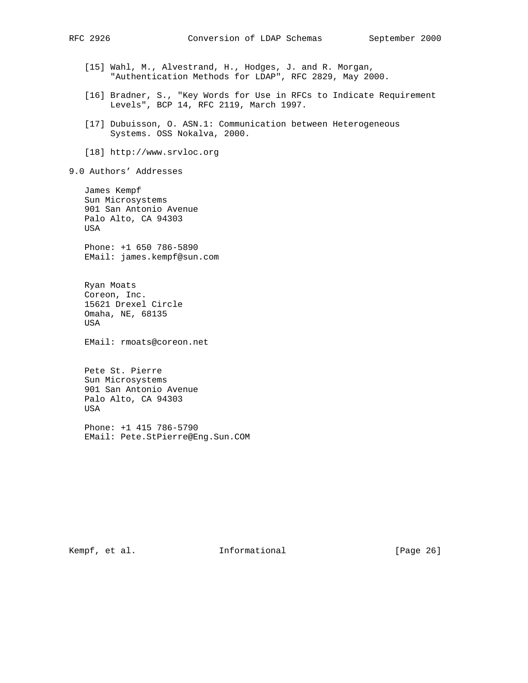- [15] Wahl, M., Alvestrand, H., Hodges, J. and R. Morgan, "Authentication Methods for LDAP", RFC 2829, May 2000.
- [16] Bradner, S., "Key Words for Use in RFCs to Indicate Requirement Levels", BCP 14, RFC 2119, March 1997.
- [17] Dubuisson, O. ASN.1: Communication between Heterogeneous Systems. OSS Nokalva, 2000.
- [18] http://www.srvloc.org
- 9.0 Authors' Addresses

 James Kempf Sun Microsystems 901 San Antonio Avenue Palo Alto, CA 94303 USA

 Phone: +1 650 786-5890 EMail: james.kempf@sun.com

 Ryan Moats Coreon, Inc. 15621 Drexel Circle Omaha, NE, 68135 USA

EMail: rmoats@coreon.net

 Pete St. Pierre Sun Microsystems 901 San Antonio Avenue Palo Alto, CA 94303 USA

 Phone: +1 415 786-5790 EMail: Pete.StPierre@Eng.Sun.COM

Kempf, et al. 1nformational [Page 26]